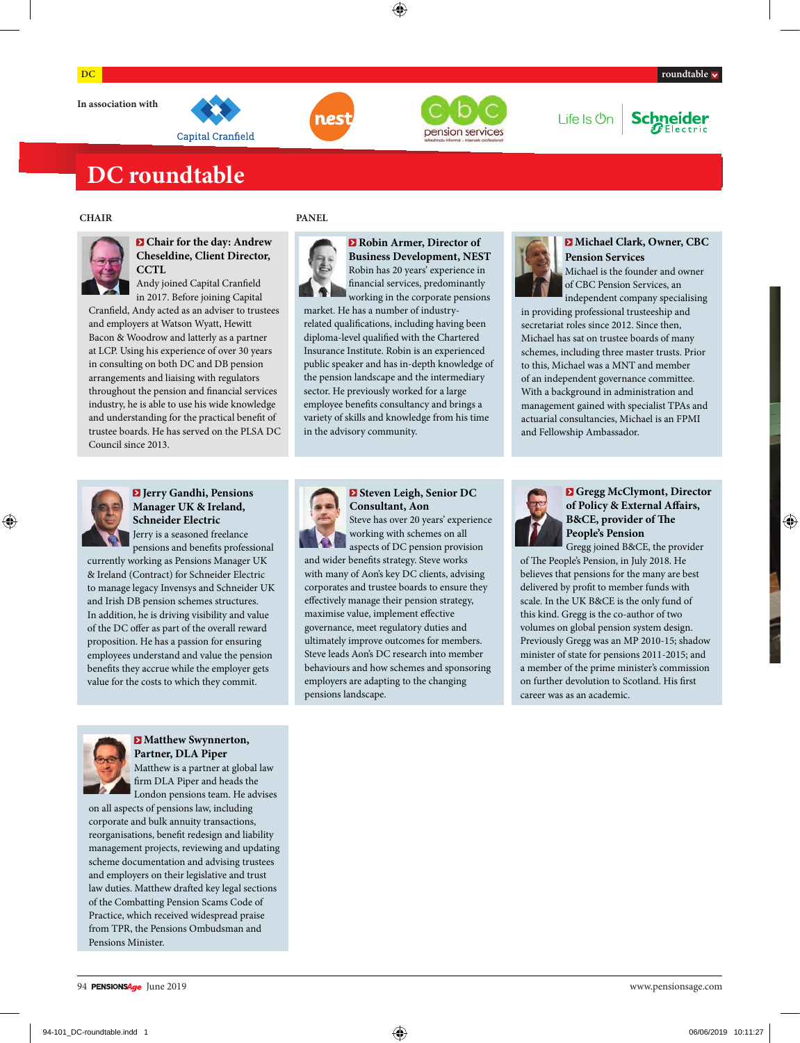





### Life Is **On Schneider**

## **DC roundtable**



### **Chair for the day: Andrew Cheseldine, Client Director, CCTL**

Andy joined Capital Cranfield in 2017. Before joining Capital

Cranfield, Andy acted as an adviser to trustees and employers at Watson Wyatt, Hewitt Bacon & Woodrow and latterly as a partner at LCP. Using his experience of over 30 years in consulting on both DC and DB pension arrangements and liaising with regulators throughout the pension and financial services industry, he is able to use his wide knowledge and understanding for the practical benefit of trustee boards. He has served on the PLSA DC Council since 2013.

### **CHAIR PANEL**



**Robin Armer, Director of Business Development, NEST**  Robin has 20 years' experience in financial services, predominantly working in the corporate pensions market. He has a number of industryrelated qualifications, including having been diploma-level qualified with the Chartered Insurance Institute. Robin is an experienced public speaker and has in-depth knowledge of the pension landscape and the intermediary sector. He previously worked for a large employee benefits consultancy and brings a variety of skills and knowledge from his time in the advisory community.



### **Michael Clark, Owner, CBC Pension Services**

Michael is the founder and owner of CBC Pension Services, an independent company specialising

in providing professional trusteeship and secretariat roles since 2012. Since then, Michael has sat on trustee boards of many schemes, including three master trusts. Prior to this, Michael was a MNT and member of an independent governance committee. With a background in administration and management gained with specialist TPAs and actuarial consultancies, Michael is an FPMI and Fellowship Ambassador.



### **Jerry Gandhi, Pensions Manager UK & Ireland, Schneider Electric**  Jerry is a seasoned freelance

pensions and benefits professional

currently working as Pensions Manager UK & Ireland (Contract) for Schneider Electric to manage legacy Invensys and Schneider UK and Irish DB pension schemes structures. In addition, he is driving visibility and value of the DC offer as part of the overall reward proposition. He has a passion for ensuring employees understand and value the pension benefits they accrue while the employer gets value for the costs to which they commit.



### **Matthew Swynnerton, Partner, DLA Piper**

Matthew is a partner at global law firm DLA Piper and heads the London pensions team. He advises

on all aspects of pensions law, including corporate and bulk annuity transactions, reorganisations, benefit redesign and liability management projects, reviewing and updating scheme documentation and advising trustees and employers on their legislative and trust law duties. Matthew drafted key legal sections of the Combatting Pension Scams Code of Practice, which received widespread praise from TPR, the Pensions Ombudsman and Pensions Minister.



### **Steven Leigh, Senior DC Consultant, Aon** Steve has over 20 years' experience

working with schemes on all aspects of DC pension provision and wider benefits strategy. Steve works with many of Aon's key DC clients, advising corporates and trustee boards to ensure they effectively manage their pension strategy, maximise value, implement effective governance, meet regulatory duties and ultimately improve outcomes for members. Steve leads Aon's DC research into member behaviours and how schemes and sponsoring employers are adapting to the changing pensions landscape.



### **Gregg McClymont, Director**  of Policy & External Affairs, **B&CE**, provider of The **People's Pension**

Gregg joined B&CE, the provider of The People's Pension, in July 2018. He believes that pensions for the many are best delivered by profit to member funds with scale. In the UK B&CE is the only fund of this kind. Gregg is the co-author of two volumes on global pension system design. Previously Gregg was an MP 2010-15; shadow minister of state for pensions 2011-2015; and a member of the prime minister's commission on further devolution to Scotland. His first career was as an academic.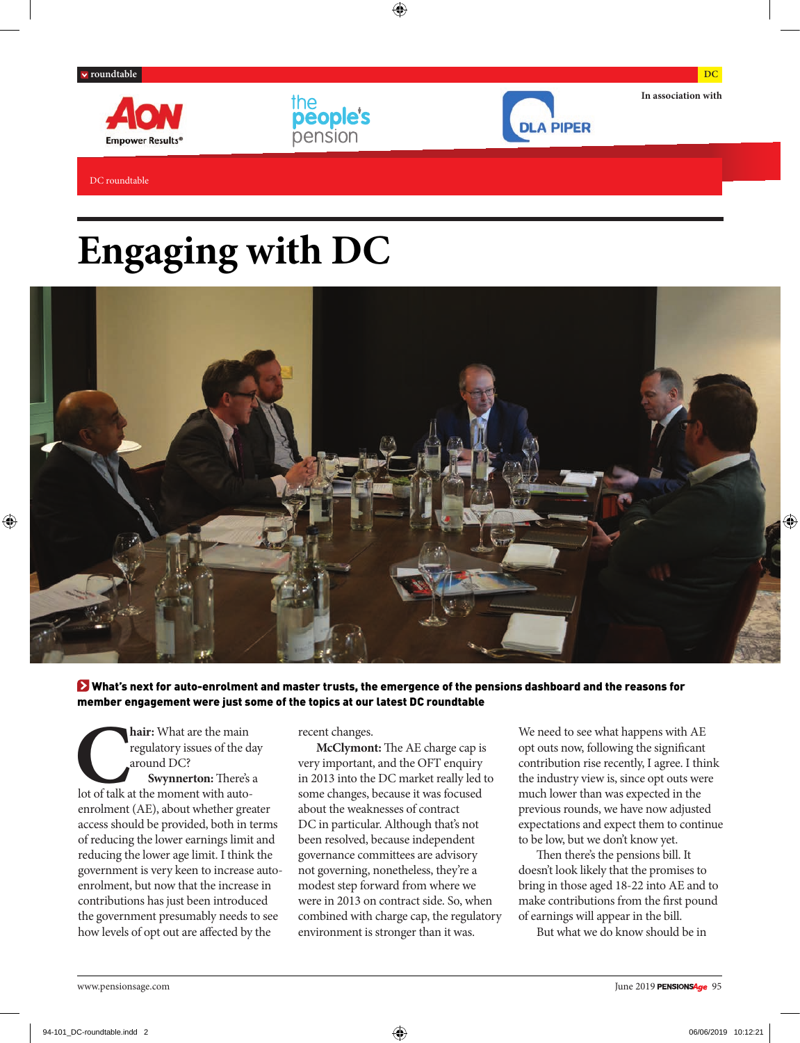DC roundtable





**In association with**

**DLA PIPER** 

# **Engaging with DC**



 What's next for auto-enrolment and master trusts, the emergence of the pensions dashboard and the reasons for member engagement were just some of the topics at our latest DC roundtable

**CHAIR:** What are the main regulatory issues of the departure of the departure of talk at the moment with autoregulatory issues of the day around DC? **Swynnerton:** There's a enrolment (AE), about whether greater access should be provided, both in terms of reducing the lower earnings limit and reducing the lower age limit. I think the government is very keen to increase autoenrolment, but now that the increase in contributions has just been introduced the government presumably needs to see how levels of opt out are affected by the

recent changes.

the<br>people's

pension

**McClymont:** The AE charge cap is very important, and the OFT enquiry in 2013 into the DC market really led to some changes, because it was focused about the weaknesses of contract DC in particular. Although that's not been resolved, because independent governance committees are advisory not governing, nonetheless, they're a modest step forward from where we were in 2013 on contract side. So, when combined with charge cap, the regulatory environment is stronger than it was.

We need to see what happens with AE opt outs now, following the signicant contribution rise recently, I agree. I think the industry view is, since opt outs were much lower than was expected in the previous rounds, we have now adjusted expectations and expect them to continue to be low, but we don't know yet.

Then there's the pensions bill. It doesn't look likely that the promises to bring in those aged 18-22 into AE and to make contributions from the first pound of earnings will appear in the bill.

But what we do know should be in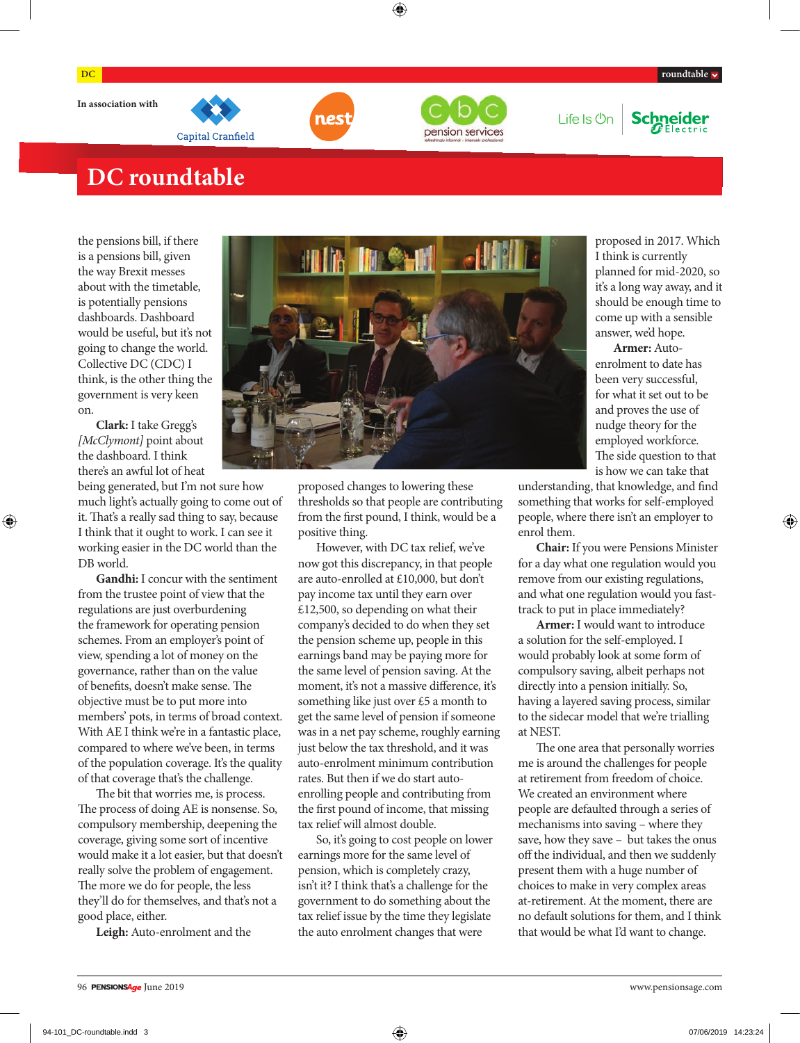





Life Is **On** 



## **DC roundtable**

the pensions bill, if there is a pensions bill, given the way Brexit messes about with the timetable, is potentially pensions dashboards. Dashboard would be useful, but it's not going to change the world. Collective DC (CDC) I think, is the other thing the government is very keen on.

**Clark:** I take Gregg's *[McClymont]* point about the dashboard. I think there's an awful lot of heat

being generated, but I'm not sure how much light's actually going to come out of it. That's a really sad thing to say, because I think that it ought to work. I can see it working easier in the DC world than the DB world.

**Gandhi:** I concur with the sentiment from the trustee point of view that the regulations are just overburdening the framework for operating pension schemes. From an employer's point of view, spending a lot of money on the governance, rather than on the value of benefits, doesn't make sense. The objective must be to put more into members' pots, in terms of broad context. With AE I think we're in a fantastic place, compared to where we've been, in terms of the population coverage. It's the quality of that coverage that's the challenge.

The bit that worries me, is process. The process of doing AE is nonsense. So, compulsory membership, deepening the coverage, giving some sort of incentive would make it a lot easier, but that doesn't really solve the problem of engagement. The more we do for people, the less they'll do for themselves, and that's not a good place, either.

**Leigh:** Auto-enrolment and the



proposed changes to lowering these thresholds so that people are contributing from the first pound, I think, would be a positive thing.

However, with DC tax relief, we've now got this discrepancy, in that people are auto-enrolled at £10,000, but don't pay income tax until they earn over £12,500, so depending on what their company's decided to do when they set the pension scheme up, people in this earnings band may be paying more for the same level of pension saving. At the moment, it's not a massive difference, it's something like just over £5 a month to get the same level of pension if someone was in a net pay scheme, roughly earning just below the tax threshold, and it was auto-enrolment minimum contribution rates. But then if we do start autoenrolling people and contributing from the first pound of income, that missing tax relief will almost double.

So, it's going to cost people on lower earnings more for the same level of pension, which is completely crazy, isn't it? I think that's a challenge for the government to do something about the tax relief issue by the time they legislate the auto enrolment changes that were

proposed in 2017. Which I think is currently planned for mid-2020, so it's a long way away, and it should be enough time to come up with a sensible answer, we'd hope.

**Armer:** Autoenrolment to date has been very successful, for what it set out to be and proves the use of nudge theory for the employed workforce. The side question to that is how we can take that

understanding, that knowledge, and find something that works for self-employed people, where there isn't an employer to enrol them.

**Chair:** If you were Pensions Minister for a day what one regulation would you remove from our existing regulations, and what one regulation would you fasttrack to put in place immediately?

**Armer:** I would want to introduce a solution for the self-employed. I would probably look at some form of compulsory saving, albeit perhaps not directly into a pension initially. So, having a layered saving process, similar to the sidecar model that we're trialling at NEST.

The one area that personally worries me is around the challenges for people at retirement from freedom of choice. We created an environment where people are defaulted through a series of mechanisms into saving – where they save, how they save – but takes the onus off the individual, and then we suddenly present them with a huge number of choices to make in very complex areas at-retirement. At the moment, there are no default solutions for them, and I think that would be what I'd want to change.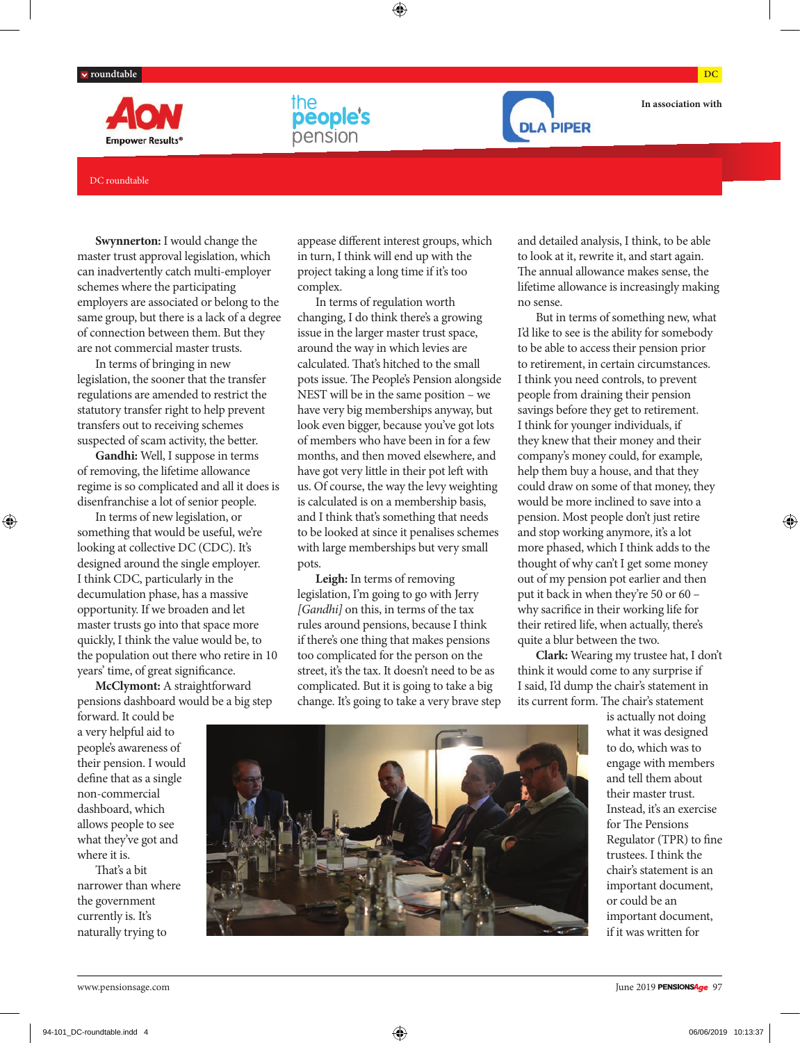





**In association with**

### DC roundtable

**Swynnerton:** I would change the master trust approval legislation, which can inadvertently catch multi-employer schemes where the participating employers are associated or belong to the same group, but there is a lack of a degree of connection between them. But they are not commercial master trusts.

In terms of bringing in new legislation, the sooner that the transfer regulations are amended to restrict the statutory transfer right to help prevent transfers out to receiving schemes suspected of scam activity, the better.

**Gandhi:** Well, I suppose in terms of removing, the lifetime allowance regime is so complicated and all it does is disenfranchise a lot of senior people.

In terms of new legislation, or something that would be useful, we're looking at collective DC (CDC). It's designed around the single employer. I think CDC, particularly in the decumulation phase, has a massive opportunity. If we broaden and let master trusts go into that space more quickly, I think the value would be, to the population out there who retire in 10 years' time, of great significance.

**McClymont:** A straightforward pensions dashboard would be a big step appease different interest groups, which in turn, I think will end up with the project taking a long time if it's too complex.

In terms of regulation worth changing, I do think there's a growing issue in the larger master trust space, around the way in which levies are calculated. That's hitched to the small pots issue. The People's Pension alongside NEST will be in the same position – we have very big memberships anyway, but look even bigger, because you've got lots of members who have been in for a few months, and then moved elsewhere, and have got very little in their pot left with us. Of course, the way the levy weighting is calculated is on a membership basis, and I think that's something that needs to be looked at since it penalises schemes with large memberships but very small pots.

**Leigh:** In terms of removing legislation, I'm going to go with Jerry *[Gandhi]* on this, in terms of the tax rules around pensions, because I think if there's one thing that makes pensions too complicated for the person on the street, it's the tax. It doesn't need to be as complicated. But it is going to take a big change. It's going to take a very brave step and detailed analysis, I think, to be able to look at it, rewrite it, and start again. The annual allowance makes sense, the lifetime allowance is increasingly making no sense.

But in terms of something new, what I'd like to see is the ability for somebody to be able to access their pension prior to retirement, in certain circumstances. I think you need controls, to prevent people from draining their pension savings before they get to retirement. I think for younger individuals, if they knew that their money and their company's money could, for example, help them buy a house, and that they could draw on some of that money, they would be more inclined to save into a pension. Most people don't just retire and stop working anymore, it's a lot more phased, which I think adds to the thought of why can't I get some money out of my pension pot earlier and then put it back in when they're 50 or 60 – why sacrifice in their working life for their retired life, when actually, there's quite a blur between the two.

**Clark:** Wearing my trustee hat, I don't think it would come to any surprise if I said, I'd dump the chair's statement in its current form. The chair's statement

> is actually not doing what it was designed to do, which was to engage with members and tell them about their master trust. Instead, it's an exercise for The Pensions Regulator (TPR) to fine trustees. I think the chair's statement is an important document, or could be an important document, if it was written for

forward. It could be a very helpful aid to people's awareness of their pension. I would define that as a single non-commercial dashboard, which allows people to see what they've got and where it is.

That's a bit narrower than where the government currently is. It's naturally trying to

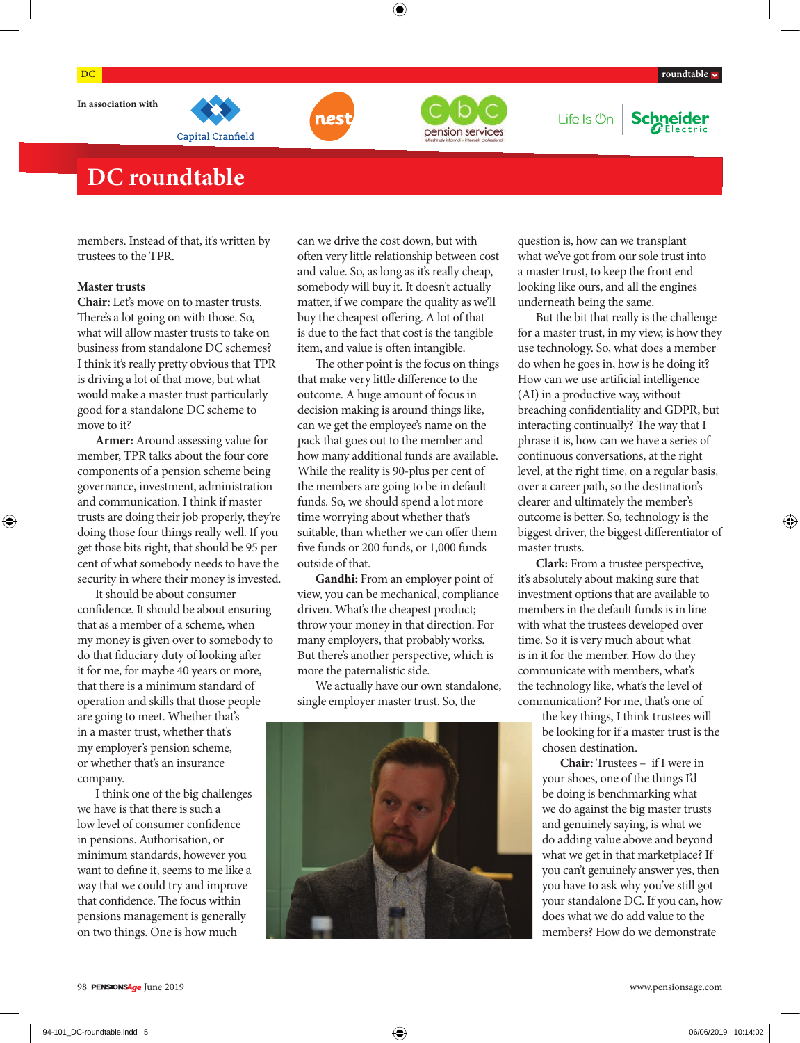

Capital Cranfield



Life Is **On Schneider** 

## **DC roundtable**

members. Instead of that, it's written by trustees to the TPR.

### **Master trusts**

**Chair:** Let's move on to master trusts. There's a lot going on with those. So, what will allow master trusts to take on business from standalone DC schemes? I think it's really pretty obvious that TPR is driving a lot of that move, but what would make a master trust particularly good for a standalone DC scheme to move to it?

**Armer:** Around assessing value for member, TPR talks about the four core components of a pension scheme being governance, investment, administration and communication. I think if master trusts are doing their job properly, they're doing those four things really well. If you get those bits right, that should be 95 per cent of what somebody needs to have the security in where their money is invested.

It should be about consumer confidence. It should be about ensuring that as a member of a scheme, when my money is given over to somebody to do that fiduciary duty of looking after it for me, for maybe 40 years or more, that there is a minimum standard of operation and skills that those people are going to meet. Whether that's in a master trust, whether that's my employer's pension scheme, or whether that's an insurance company.

I think one of the big challenges we have is that there is such a low level of consumer confidence in pensions. Authorisation, or minimum standards, however you want to define it, seems to me like a way that we could try and improve that confidence. The focus within pensions management is generally on two things. One is how much

can we drive the cost down, but with often very little relationship between cost and value. So, as long as it's really cheap, somebody will buy it. It doesn't actually matter, if we compare the quality as we'll buy the cheapest offering. A lot of that is due to the fact that cost is the tangible item, and value is often intangible.

The other point is the focus on things that make very little difference to the outcome. A huge amount of focus in decision making is around things like, can we get the employee's name on the pack that goes out to the member and how many additional funds are available. While the reality is 90-plus per cent of the members are going to be in default funds. So, we should spend a lot more time worrying about whether that's suitable, than whether we can offer them five funds or 200 funds, or 1,000 funds outside of that.

**Gandhi:** From an employer point of view, you can be mechanical, compliance driven. What's the cheapest product; throw your money in that direction. For many employers, that probably works. But there's another perspective, which is more the paternalistic side.

We actually have our own standalone, single employer master trust. So, the



question is, how can we transplant what we've got from our sole trust into a master trust, to keep the front end looking like ours, and all the engines underneath being the same.

But the bit that really is the challenge for a master trust, in my view, is how they use technology. So, what does a member do when he goes in, how is he doing it? How can we use artificial intelligence (AI) in a productive way, without breaching confidentiality and GDPR, but interacting continually? The way that I phrase it is, how can we have a series of continuous conversations, at the right level, at the right time, on a regular basis, over a career path, so the destination's clearer and ultimately the member's outcome is better. So, technology is the biggest driver, the biggest differentiator of master trusts.

**Clark:** From a trustee perspective, it's absolutely about making sure that investment options that are available to members in the default funds is in line with what the trustees developed over time. So it is very much about what is in it for the member. How do they communicate with members, what's the technology like, what's the level of communication? For me, that's one of

> the key things, I think trustees will be looking for if a master trust is the chosen destination.

**Chair:** Trustees – if I were in your shoes, one of the things I'd be doing is benchmarking what we do against the big master trusts and genuinely saying, is what we do adding value above and beyond what we get in that marketplace? If you can't genuinely answer yes, then you have to ask why you've still got your standalone DC. If you can, how does what we do add value to the members? How do we demonstrate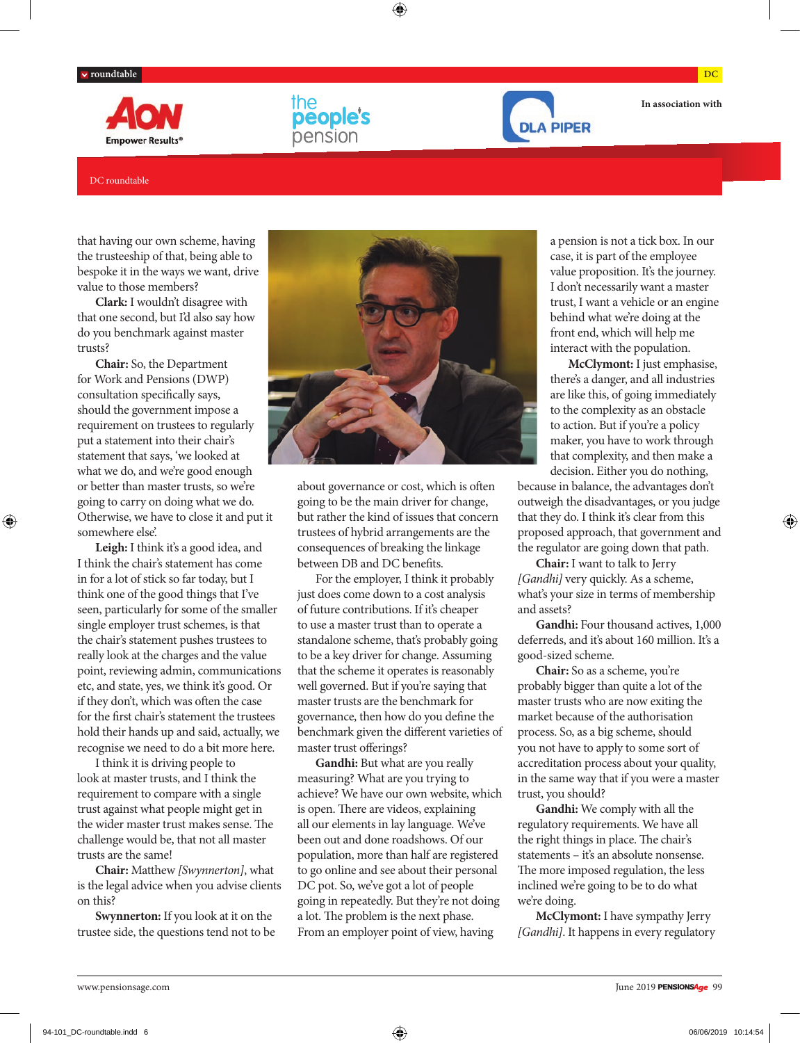





**In association with**

### DC roundtable

that having our own scheme, having the trusteeship of that, being able to bespoke it in the ways we want, drive value to those members?

**Clark:** I wouldn't disagree with that one second, but I'd also say how do you benchmark against master trusts?

**Chair:** So, the Department for Work and Pensions (DWP) consultation specifically says, should the government impose a requirement on trustees to regularly put a statement into their chair's statement that says, 'we looked at what we do, and we're good enough or better than master trusts, so we're going to carry on doing what we do. Otherwise, we have to close it and put it somewhere else'.

**Leigh:** I think it's a good idea, and I think the chair's statement has come in for a lot of stick so far today, but I think one of the good things that I've seen, particularly for some of the smaller single employer trust schemes, is that the chair's statement pushes trustees to really look at the charges and the value point, reviewing admin, communications etc, and state, yes, we think it's good. Or if they don't, which was often the case for the first chair's statement the trustees hold their hands up and said, actually, we recognise we need to do a bit more here.

I think it is driving people to look at master trusts, and I think the requirement to compare with a single trust against what people might get in the wider master trust makes sense. The challenge would be, that not all master trusts are the same!

**Chair:** Matthew *[Swynnerton]*, what is the legal advice when you advise clients on this?

**Swynnerton:** If you look at it on the trustee side, the questions tend not to be



about governance or cost, which is often going to be the main driver for change, but rather the kind of issues that concern trustees of hybrid arrangements are the consequences of breaking the linkage between DB and DC benefits.

For the employer, I think it probably just does come down to a cost analysis of future contributions. If it's cheaper to use a master trust than to operate a standalone scheme, that's probably going to be a key driver for change. Assuming that the scheme it operates is reasonably well governed. But if you're saying that master trusts are the benchmark for governance, then how do you define the benchmark given the different varieties of master trust offerings?

Gandhi: But what are you really measuring? What are you trying to achieve? We have our own website, which is open. There are videos, explaining all our elements in lay language. We've been out and done roadshows. Of our population, more than half are registered to go online and see about their personal DC pot. So, we've got a lot of people going in repeatedly. But they're not doing a lot. The problem is the next phase. From an employer point of view, having

a pension is not a tick box. In our case, it is part of the employee value proposition. It's the journey. I don't necessarily want a master trust, I want a vehicle or an engine behind what we're doing at the front end, which will help me interact with the population.

**McClymont:** I just emphasise, there's a danger, and all industries are like this, of going immediately to the complexity as an obstacle to action. But if you're a policy maker, you have to work through that complexity, and then make a decision. Either you do nothing,

because in balance, the advantages don't outweigh the disadvantages, or you judge that they do. I think it's clear from this proposed approach, that government and the regulator are going down that path.

**Chair:** I want to talk to Jerry *[Gandhi]* very quickly. As a scheme, what's your size in terms of membership and assets?

**Gandhi:** Four thousand actives, 1,000 deferreds, and it's about 160 million. It's a good-sized scheme.

**Chair:** So as a scheme, you're probably bigger than quite a lot of the master trusts who are now exiting the market because of the authorisation process. So, as a big scheme, should you not have to apply to some sort of accreditation process about your quality, in the same way that if you were a master trust, you should?

**Gandhi:** We comply with all the regulatory requirements. We have all the right things in place. The chair's statements – it's an absolute nonsense. The more imposed regulation, the less inclined we're going to be to do what we're doing.

**McClymont:** I have sympathy Jerry *[Gandhi]*. It happens in every regulatory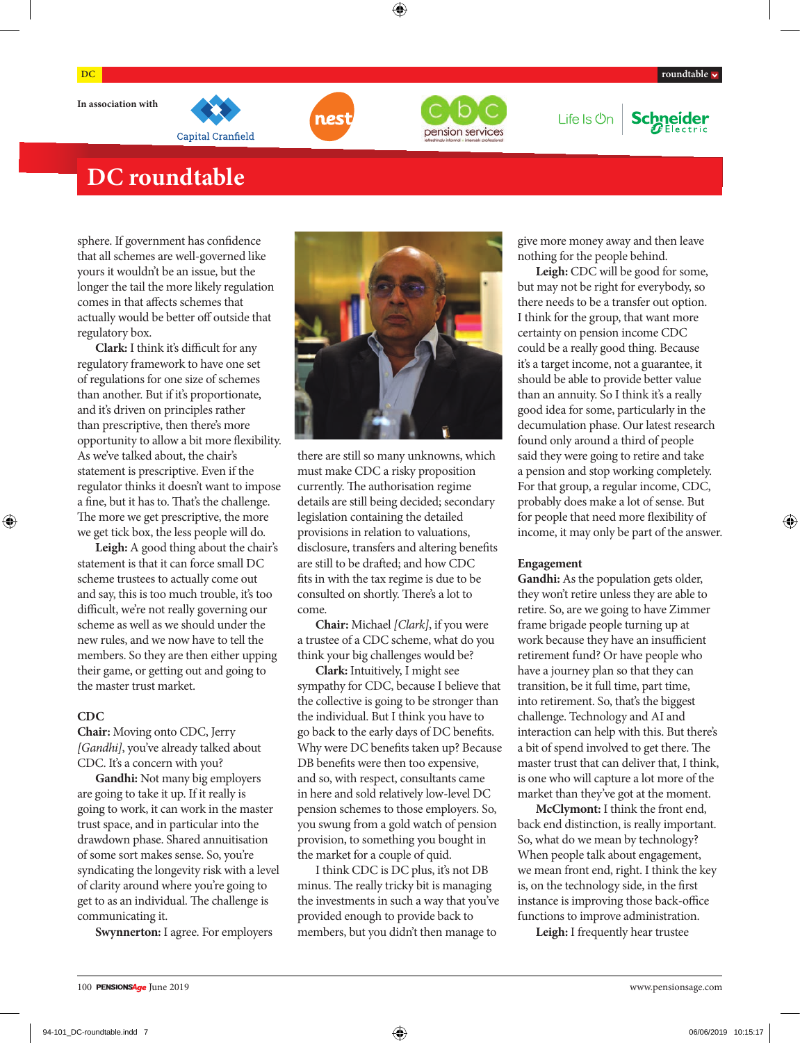

Capital Cranfield



Life Is **On** 



## **DC roundtable**

sphere. If government has confidence that all schemes are well-governed like yours it wouldn't be an issue, but the longer the tail the more likely regulation comes in that affects schemes that actually would be better off outside that regulatory box.

**Clark:** I think it's difficult for any regulatory framework to have one set of regulations for one size of schemes than another. But if it's proportionate, and it's driven on principles rather than prescriptive, then there's more opportunity to allow a bit more flexibility. As we've talked about, the chair's statement is prescriptive. Even if the regulator thinks it doesn't want to impose a fine, but it has to. That's the challenge. The more we get prescriptive, the more we get tick box, the less people will do.

**Leigh:** A good thing about the chair's statement is that it can force small DC scheme trustees to actually come out and say, this is too much trouble, it's too difficult, we're not really governing our scheme as well as we should under the new rules, and we now have to tell the members. So they are then either upping their game, or getting out and going to the master trust market.

### **CDC**

**Chair:** Moving onto CDC, Jerry *[Gandhi]*, you've already talked about CDC. It's a concern with you?

**Gandhi:** Not many big employers are going to take it up. If it really is going to work, it can work in the master trust space, and in particular into the drawdown phase. Shared annuitisation of some sort makes sense. So, you're syndicating the longevity risk with a level of clarity around where you're going to get to as an individual. The challenge is communicating it.

**Swynnerton:** I agree. For employers



there are still so many unknowns, which must make CDC a risky proposition currently. The authorisation regime details are still being decided; secondary legislation containing the detailed provisions in relation to valuations, disclosure, transfers and altering benefits are still to be drafted; and how CDC fits in with the tax regime is due to be consulted on shortly. There's a lot to come.

**Chair:** Michael *[Clark]*, if you were a trustee of a CDC scheme, what do you think your big challenges would be?

**Clark:** Intuitively, I might see sympathy for CDC, because I believe that the collective is going to be stronger than the individual. But I think you have to go back to the early days of DC benefits. Why were DC benefits taken up? Because DB benefits were then too expensive, and so, with respect, consultants came in here and sold relatively low-level DC pension schemes to those employers. So, you swung from a gold watch of pension provision, to something you bought in the market for a couple of quid.

I think CDC is DC plus, it's not DB minus. The really tricky bit is managing the investments in such a way that you've provided enough to provide back to members, but you didn't then manage to

give more money away and then leave nothing for the people behind.

**Leigh:** CDC will be good for some, but may not be right for everybody, so there needs to be a transfer out option. I think for the group, that want more certainty on pension income CDC could be a really good thing. Because it's a target income, not a guarantee, it should be able to provide better value than an annuity. So I think it's a really good idea for some, particularly in the decumulation phase. Our latest research found only around a third of people said they were going to retire and take a pension and stop working completely. For that group, a regular income, CDC, probably does make a lot of sense. But for people that need more flexibility of income, it may only be part of the answer.

### **Engagement**

**Gandhi:** As the population gets older, they won't retire unless they are able to retire. So, are we going to have Zimmer frame brigade people turning up at work because they have an insufficient retirement fund? Or have people who have a journey plan so that they can transition, be it full time, part time, into retirement. So, that's the biggest challenge. Technology and AI and interaction can help with this. But there's a bit of spend involved to get there. The master trust that can deliver that, I think, is one who will capture a lot more of the market than they've got at the moment.

**McClymont:** I think the front end, back end distinction, is really important. So, what do we mean by technology? When people talk about engagement, we mean front end, right. I think the key is, on the technology side, in the first instance is improving those back-office functions to improve administration.

**Leigh:** I frequently hear trustee